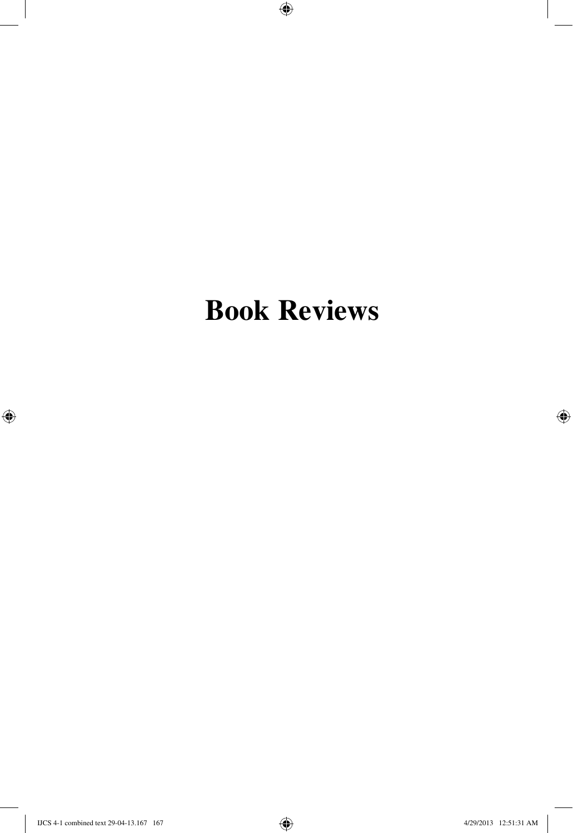## **Book Reviews**

 $\bigoplus$ 

 $\bigoplus$ 

 $\bigoplus$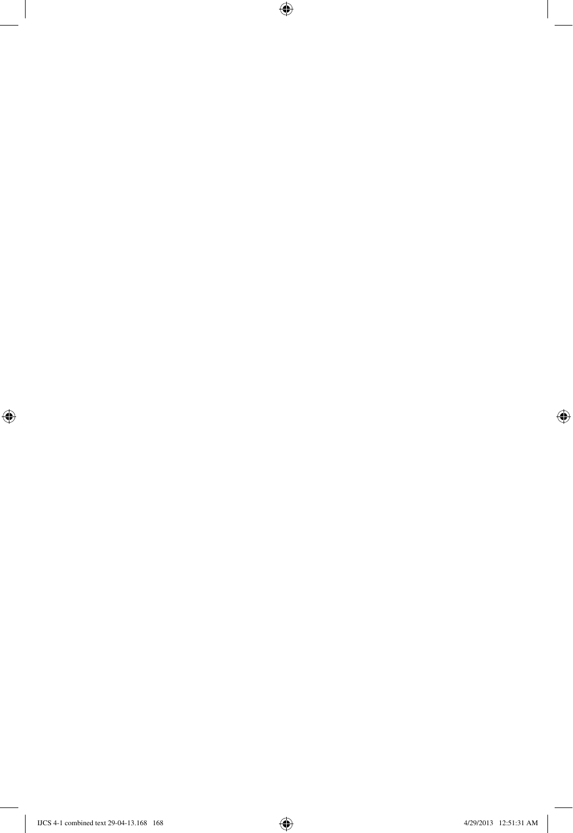

 $\overline{\phantom{a}}$ 

 $\bigoplus$ 

 $\bigoplus$ 

 $\overline{\phantom{a}}$ 

 $\bigoplus$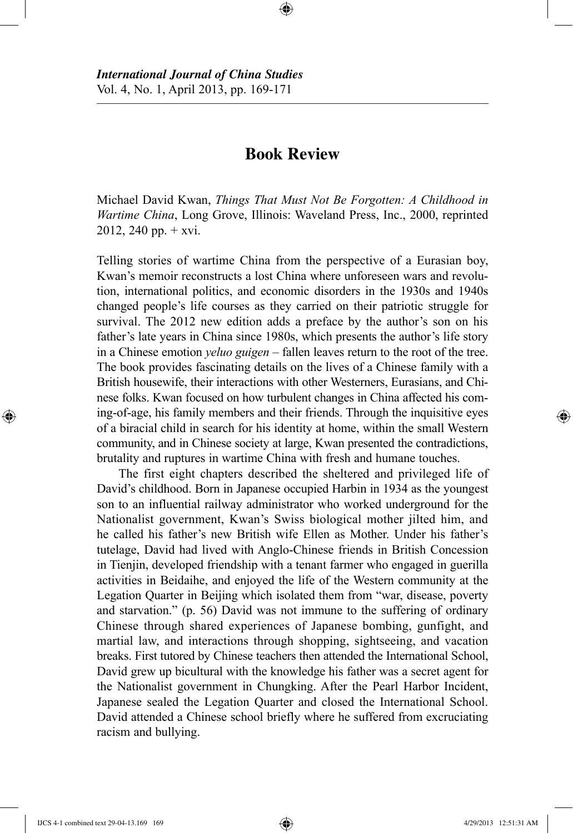## **Book Review**

⊕

Michael David Kwan, *Things That Must Not Be Forgotten: A Childhood in Wartime China*, Long Grove, Illinois: Waveland Press, Inc., 2000, reprinted 2012, 240 pp. + xvi.

Telling stories of wartime China from the perspective of a Eurasian boy, Kwan's memoir reconstructs a lost China where unforeseen wars and revolution, international politics, and economic disorders in the 1930s and 1940s changed people's life courses as they carried on their patriotic struggle for survival. The 2012 new edition adds a preface by the author's son on his father's late years in China since 1980s, which presents the author's life story in a Chinese emotion *yeluo guigen* – fallen leaves return to the root of the tree. The book provides fascinating details on the lives of a Chinese family with a British housewife, their interactions with other Westerners, Eurasians, and Chinese folks. Kwan focused on how turbulent changes in China affected his coming-of-age, his family members and their friends. Through the inquisitive eyes of a biracial child in search for his identity at home, within the small Western community, and in Chinese society at large, Kwan presented the contradictions, brutality and ruptures in wartime China with fresh and humane touches.

The first eight chapters described the sheltered and privileged life of David's childhood. Born in Japanese occupied Harbin in 1934 as the youngest son to an influential railway administrator who worked underground for the Nationalist government, Kwan's Swiss biological mother jilted him, and he called his father's new British wife Ellen as Mother. Under his father's tutelage, David had lived with Anglo-Chinese friends in British Concession in Tienjin, developed friendship with a tenant farmer who engaged in guerilla activities in Beidaihe, and enjoyed the life of the Western community at the Legation Quarter in Beijing which isolated them from "war, disease, poverty and starvation." (p. 56) David was not immune to the suffering of ordinary Chinese through shared experiences of Japanese bombing, gunfight, and martial law, and interactions through shopping, sightseeing, and vacation breaks. First tutored by Chinese teachers then attended the International School, David grew up bicultural with the knowledge his father was a secret agent for the Nationalist government in Chungking. After the Pearl Harbor Incident, Japanese sealed the Legation Quarter and closed the International School. David attended a Chinese school briefly where he suffered from excruciating racism and bullying.

⊕

⊕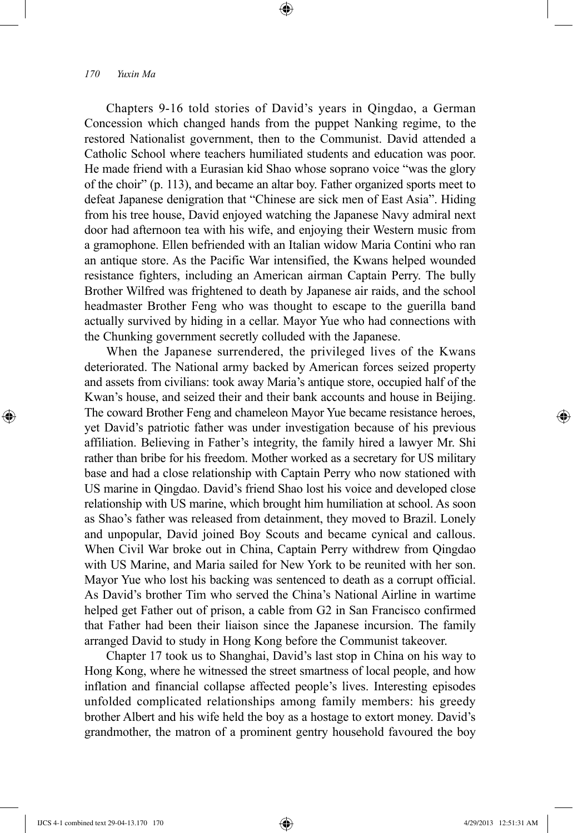Chapters 9-16 told stories of David's years in Qingdao, a German Concession which changed hands from the puppet Nanking regime, to the restored Nationalist government, then to the Communist. David attended a Catholic School where teachers humiliated students and education was poor. He made friend with a Eurasian kid Shao whose soprano voice "was the glory of the choir" (p. 113), and became an altar boy. Father organized sports meet to defeat Japanese denigration that "Chinese are sick men of East Asia". Hiding from his tree house, David enjoyed watching the Japanese Navy admiral next door had afternoon tea with his wife, and enjoying their Western music from a gramophone. Ellen befriended with an Italian widow Maria Contini who ran an antique store. As the Pacific War intensified, the Kwans helped wounded resistance fighters, including an American airman Captain Perry. The bully Brother Wilfred was frightened to death by Japanese air raids, and the school headmaster Brother Feng who was thought to escape to the guerilla band actually survived by hiding in a cellar. Mayor Yue who had connections with the Chunking government secretly colluded with the Japanese.

⊕

When the Japanese surrendered, the privileged lives of the Kwans deteriorated. The National army backed by American forces seized property and assets from civilians: took away Maria's antique store, occupied half of the Kwan's house, and seized their and their bank accounts and house in Beijing. The coward Brother Feng and chameleon Mayor Yue became resistance heroes, yet David's patriotic father was under investigation because of his previous affiliation. Believing in Father's integrity, the family hired a lawyer Mr. Shi rather than bribe for his freedom. Mother worked as a secretary for US military base and had a close relationship with Captain Perry who now stationed with US marine in Qingdao. David's friend Shao lost his voice and developed close relationship with US marine, which brought him humiliation at school. As soon as Shao's father was released from detainment, they moved to Brazil. Lonely and unpopular, David joined Boy Scouts and became cynical and callous. When Civil War broke out in China, Captain Perry withdrew from Qingdao with US Marine, and Maria sailed for New York to be reunited with her son. Mayor Yue who lost his backing was sentenced to death as a corrupt official. As David's brother Tim who served the China's National Airline in wartime helped get Father out of prison, a cable from G2 in San Francisco confirmed that Father had been their liaison since the Japanese incursion. The family arranged David to study in Hong Kong before the Communist takeover.

Chapter 17 took us to Shanghai, David's last stop in China on his way to Hong Kong, where he witnessed the street smartness of local people, and how inflation and financial collapse affected people's lives. Interesting episodes unfolded complicated relationships among family members: his greedy brother Albert and his wife held the boy as a hostage to extort money. David's grandmother, the matron of a prominent gentry household favoured the boy

IJCS 4-1 combined text 29-04-13.170 170 4/29/2013 12:51:31 AM

⊕

⊕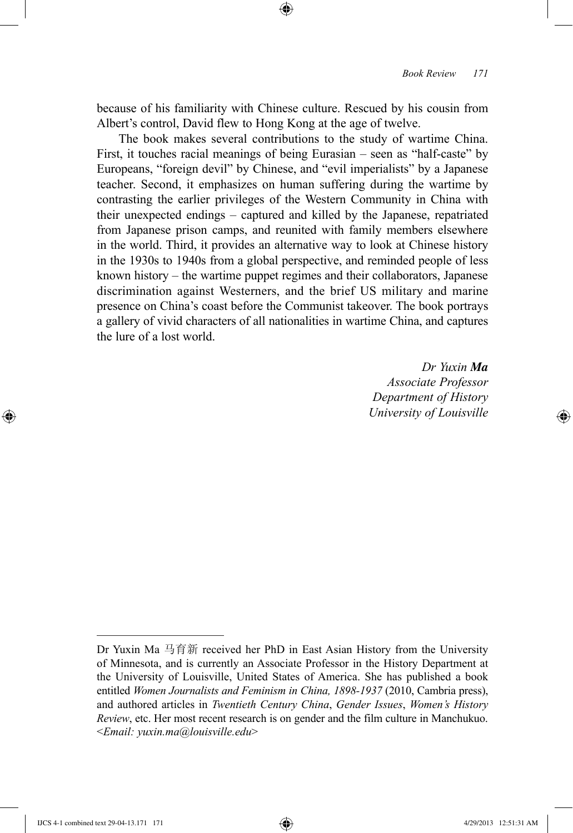because of his familiarity with Chinese culture. Rescued by his cousin from Albert's control, David flew to Hong Kong at the age of twelve.

⊕

The book makes several contributions to the study of wartime China. First, it touches racial meanings of being Eurasian – seen as "half-caste" by Europeans, "foreign devil" by Chinese, and "evil imperialists" by a Japanese teacher. Second, it emphasizes on human suffering during the wartime by contrasting the earlier privileges of the Western Community in China with their unexpected endings – captured and killed by the Japanese, repatriated from Japanese prison camps, and reunited with family members elsewhere in the world. Third, it provides an alternative way to look at Chinese history in the 1930s to 1940s from a global perspective, and reminded people of less known history – the wartime puppet regimes and their collaborators, Japanese discrimination against Westerners, and the brief US military and marine presence on China's coast before the Communist takeover. The book portrays a gallery of vivid characters of all nationalities in wartime China, and captures the lure of a lost world.

> *Dr Yuxin Ma Associate Professor Department of History University of Louisville*

⊕

⊕

Dr Yuxin Ma 马育新 received her PhD in East Asian History from the University of Minnesota, and is currently an Associate Professor in the History Department at the University of Louisville, United States of America. She has published a book entitled *Women Journalists and Feminism in China, 1898-1937* (2010, Cambria press), and authored articles in *Twentieth Century China*, *Gender Issues*, *Women's History Review*, etc. Her most recent research is on gender and the film culture in Manchukuo. <*Email: yuxin.ma@louisville.edu*>